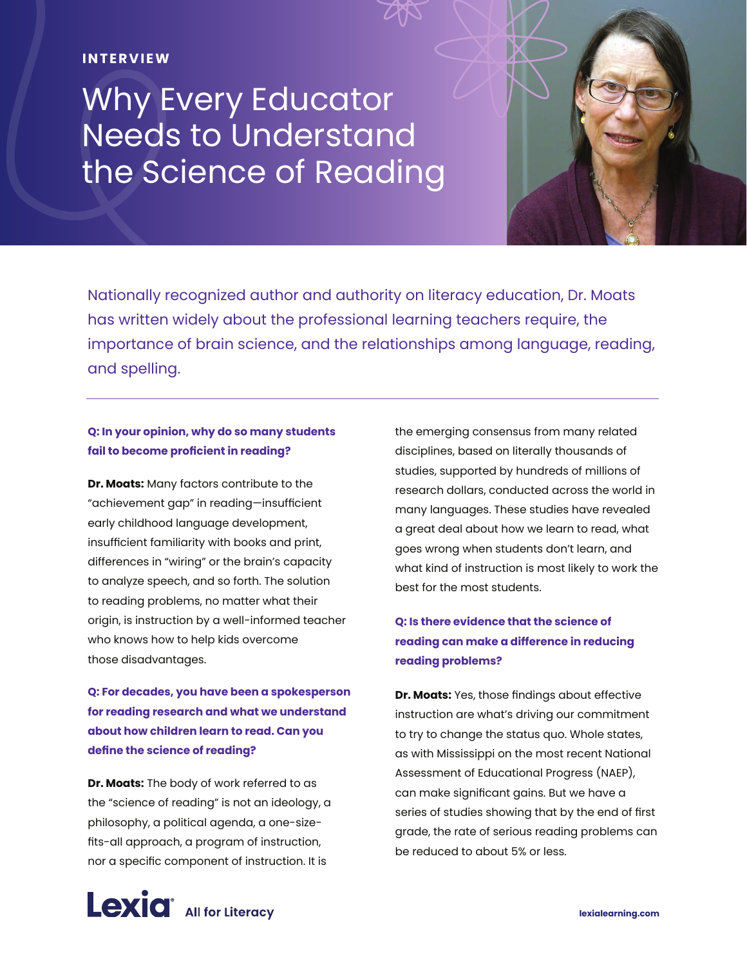#### **INTERVIEW**

# Why Every Educator Needs to Understand the Science of Reading



#### **Q: In your opinion, why do so many students fail to become proficient in reading?**

**Dr. Moats:** Many factors contribute to the "achievement gap" in reading—insufficient early childhood language development, insufficient familiarity with books and print, differences in "wiring" or the brain's capacity to analyze speech, and so forth. The solution to reading problems, no matter what their origin, is instruction by a well-informed teacher who knows how to help kids overcome those disadvantages.

**Q: For decades, you have been a spokesperson for reading research and what we understand about how children learn to read. Can you define the science of reading?**

**Dr. Moats:** The body of work referred to as the "science of reading" is not an ideology, a philosophy, a political agenda, a one-sizefits-all approach, a program of instruction, nor a specific component of instruction. It is

the emerging consensus from many related disciplines, based on literally thousands of studies, supported by hundreds of millions of research dollars, conducted across the world in many languages. These studies have revealed a great deal about how we learn to read, what goes wrong when students don't learn, and what kind of instruction is most likely to work the best for the most students.

# **Q: Is there evidence that the science of reading can make a difference in reducing reading problems?**

**Dr. Moats:** Yes, those findings about effective instruction are what's driving our commitment to try to change the status quo. Whole states, as with Mississippi on the most recent National Assessment of Educational Progress (NAEP), can make significant gains. But we have a series of studies showing that by the end of first grade, the rate of serious reading problems can be reduced to about 5% or less.

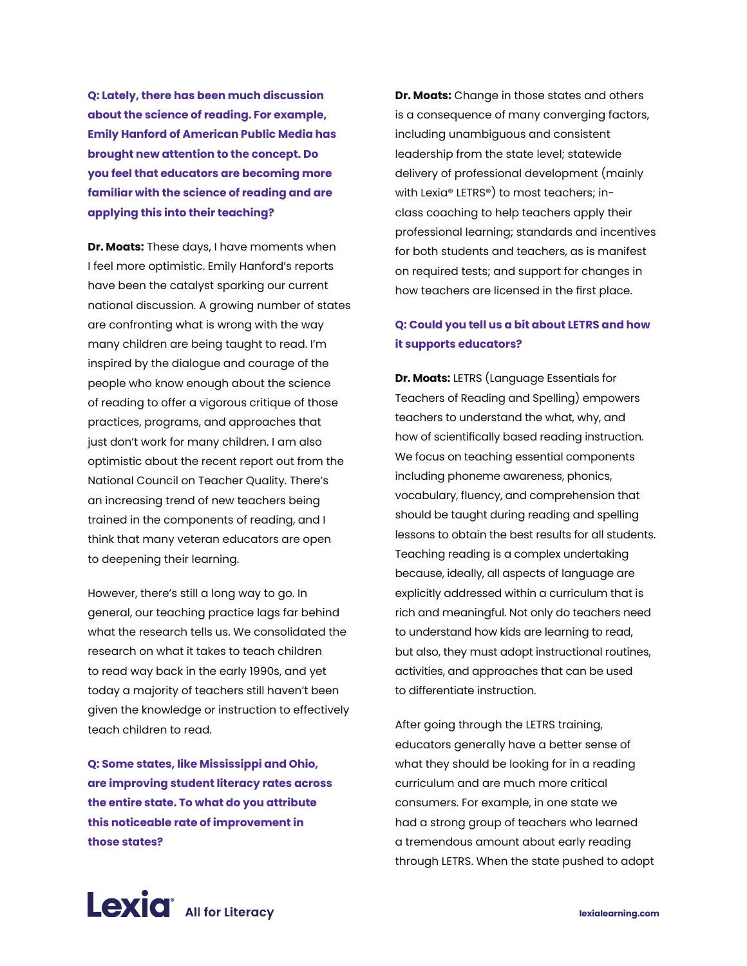**Q: Lately, there has been much discussion about the science of reading. For example, Emily Hanford of American Public Media has brought new attention to the concept. Do you feel that educators are becoming more familiar with the science of reading and are applying this into their teaching?**

**Dr. Moats:** These days, I have moments when I feel more optimistic. Emily Hanford's reports have been the catalyst sparking our current national discussion. A growing number of states are confronting what is wrong with the way many children are being taught to read. I'm inspired by the dialogue and courage of the people who know enough about the science of reading to offer a vigorous critique of those practices, programs, and approaches that just don't work for many children. I am also optimistic about the recent report out from the National Council on Teacher Quality. There's an increasing trend of new teachers being trained in the components of reading, and I think that many veteran educators are open to deepening their learning.

However, there's still a long way to go. In general, our teaching practice lags far behind what the research tells us. We consolidated the research on what it takes to teach children to read way back in the early 1990s, and yet today a majority of teachers still haven't been given the knowledge or instruction to effectively teach children to read.

**Q: Some states, like Mississippi and Ohio, are improving student literacy rates across the entire state. To what do you attribute this noticeable rate of improvement in those states?**

**Dr. Moats:** Change in those states and others is a consequence of many converging factors, including unambiguous and consistent leadership from the state level; statewide delivery of professional development (mainly with Lexia® LETRS®) to most teachers; inclass coaching to help teachers apply their professional learning; standards and incentives for both students and teachers, as is manifest on required tests; and support for changes in how teachers are licensed in the first place.

### **Q: Could you tell us a bit about LETRS and how it supports educators?**

**Dr. Moats:** LETRS (Language Essentials for Teachers of Reading and Spelling) empowers teachers to understand the what, why, and how of scientifically based reading instruction. We focus on teaching essential components including phoneme awareness, phonics, vocabulary, fluency, and comprehension that should be taught during reading and spelling lessons to obtain the best results for all students. Teaching reading is a complex undertaking because, ideally, all aspects of language are explicitly addressed within a curriculum that is rich and meaningful. Not only do teachers need to understand how kids are learning to read, but also, they must adopt instructional routines, activities, and approaches that can be used to differentiate instruction.

After going through the LETRS training, educators generally have a better sense of what they should be looking for in a reading curriculum and are much more critical consumers. For example, in one state we had a strong group of teachers who learned a tremendous amount about early reading through LETRS. When the state pushed to adopt